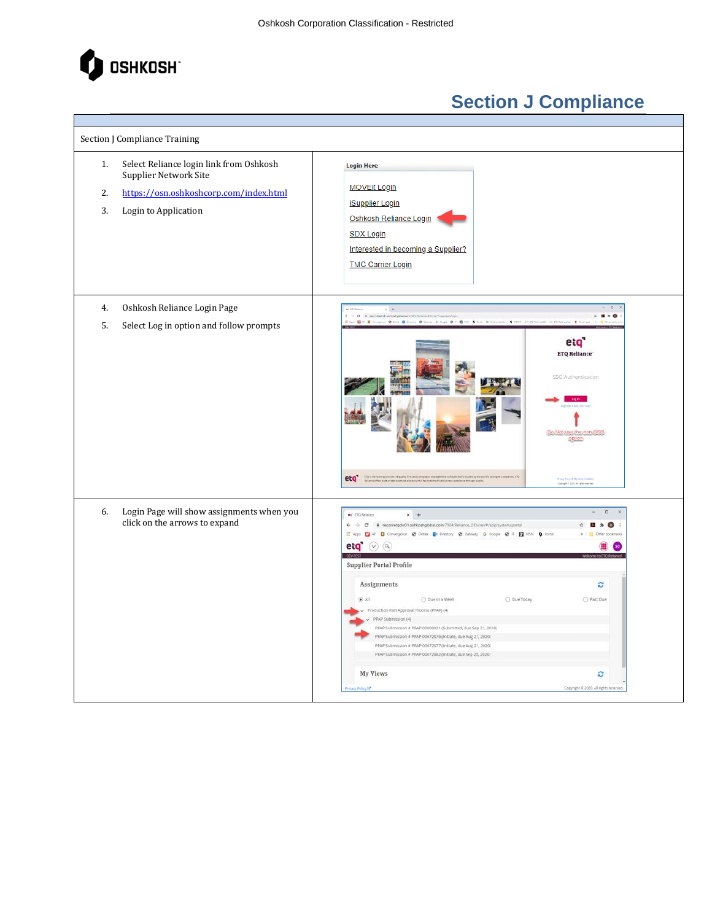

| Section J Compliance Training                                                                                                                        |                                                                                                                                                                                                                                                                                                                                                                                                                                                                                                                                                                                                                                                                                                                      |
|------------------------------------------------------------------------------------------------------------------------------------------------------|----------------------------------------------------------------------------------------------------------------------------------------------------------------------------------------------------------------------------------------------------------------------------------------------------------------------------------------------------------------------------------------------------------------------------------------------------------------------------------------------------------------------------------------------------------------------------------------------------------------------------------------------------------------------------------------------------------------------|
| Select Reliance login link from Oshkosh<br>1.<br>Supplier Network Site<br>https://osn.oshkoshcorp.com/index.html<br>2.<br>3.<br>Login to Application | <b>Login Here</b><br><b>MOVEit Login</b><br><b>iSupplier Login</b><br>Oshkosh Reliance Login<br><b>SDX Login</b><br>Interested in becoming a Supplier?<br><b>TMC Carrier Login</b>                                                                                                                                                                                                                                                                                                                                                                                                                                                                                                                                   |
| Oshkosh Reliance Login Page<br>4.<br>5.<br>Select Log in option and follow prompts                                                                   | $+$<br>$ C$ $\rightarrow$ $N(2)$<br>$= 0.80$<br>Apple 2 of the service of the Company of Company in Company 2 of 2 of the Controllection of Control Company Company Company 2 of the Company of the Company Company Company Company Company Company Company Company Company Co<br>eta<br><b>ETQ Reliance</b><br>SSO Authentication<br>)o;Not-use;the:non-SS0<br>eta estado e a composição de parte de la composición de composição de la contrata de la composición de la compo<br>En el composición de la composición en possibilidade de la composición de la composición de la composición de<br><b>Prints Protected Chinese &amp; Count</b><br>Depute 6.200 At Spie sources                                      |
| Login Page will show assignments when you<br>6.<br>click on the arrows to expand                                                                     | $\Box$<br>et ETQ Relance<br>$x +$<br>El Apps El AF El Convergence @ Deitek ED Directory @ Gateway G Google @ IT El MSN O Portal<br>eta $\odot$ a<br><b>DEWTEST</b><br><b>Supplier Portal Profile</b><br>Assignments<br>ø<br>$\mathbb{R}$ .<br>O Due in a Week<br>O Due Today<br>O Past Due<br>Production Part Approval Process (PPAP) (4)<br>PPAP Submission (4)<br>PPAP Submission # PPAP-00000031 (Submitted, due Sep 21, 2018)<br>PPAP Submission # PPAP-00072876 (Initiate, due Aug 21, 2020)<br>PPAP Submission # PPAP-00072877 (Initiate, due Aug 21, 2020)<br>PPAP Submission # PPAP-00072882 (Initiate, due Sep 25, 2020)<br><b>My Views</b><br>c<br>Copyright @ 2020, All rights reserved<br>vacy Policy (3 |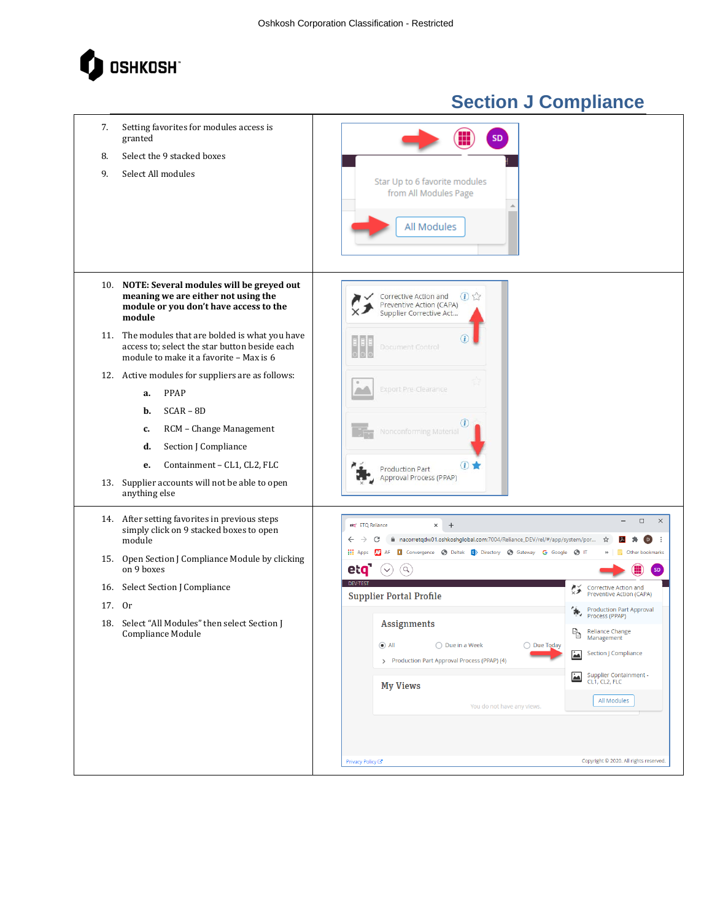

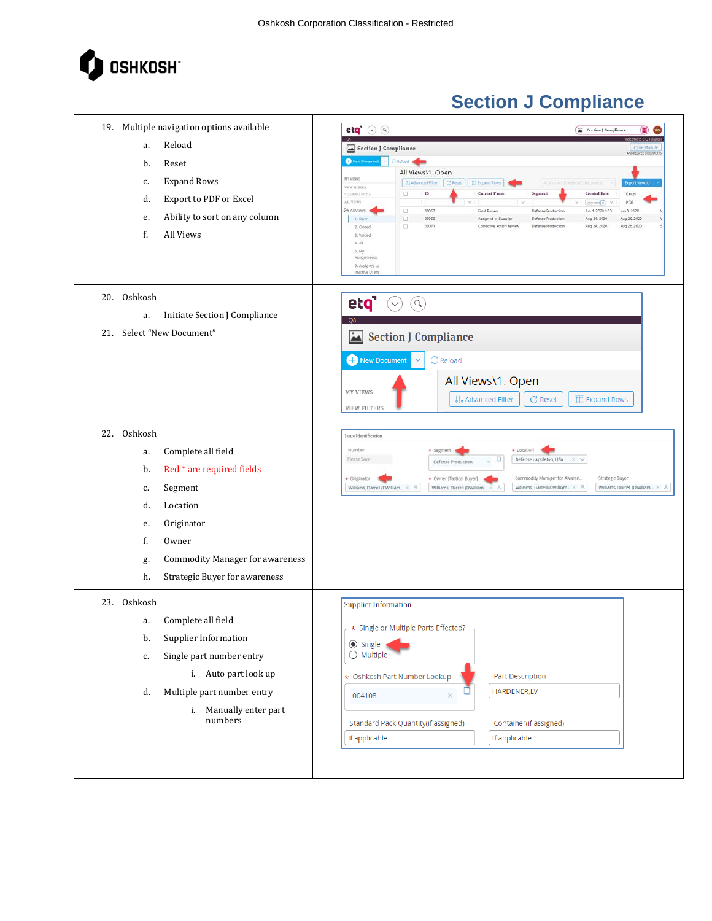

| 19. Multiple navigation options available<br>Reload<br>a.<br>b.<br>Reset<br><b>Expand Rows</b><br>c.<br>Export to PDF or Excel<br>d.<br>Ability to sort on any column<br>e.<br>f.<br>All Views                                          | et q'<br>$\odot$ $\odot$<br>Section J Compliance<br>ш<br>Section J Compliance<br>Close Module<br>AND RELATED DOCUMENT<br>New Documen<br>The food<br>$\sim$<br>All Views\1. Open<br>MY VIBRS<br>Ill Advanced Filter   C Reset   III Expand Rows<br><b>Export view to</b><br>VIDE FILTERS<br>0<br>$\rm ID$<br><b>Current Phase</b><br>Segment<br><b>Created Date</b><br>Excel<br>to saved filters<br>ALL VIIWS<br>PDF<br>$\boldsymbol{\nabla}$<br>$\sqrt{2}$<br>www.mail.<br>v<br>& All Views<br>$\Box$<br>00067<br>Final Review<br>Defense Production<br>Jun 1.2020 1:53<br>Jun 3, 2020<br>$\Box$<br>00069<br>Aug 26, 2020<br>t. Open<br>Assigned to Supplier<br>Defense Production<br>Aug 24, 2020<br>0<br>00071<br>Corrective Action Review<br>Aug 24, 2020<br>Aug 26, 2020<br>Defense Production<br>2. Cosed<br>3. Voided<br>$4,$ All<br>3. My<br>Assignments<br>5. Assigned to<br>Inactive User: |
|-----------------------------------------------------------------------------------------------------------------------------------------------------------------------------------------------------------------------------------------|-----------------------------------------------------------------------------------------------------------------------------------------------------------------------------------------------------------------------------------------------------------------------------------------------------------------------------------------------------------------------------------------------------------------------------------------------------------------------------------------------------------------------------------------------------------------------------------------------------------------------------------------------------------------------------------------------------------------------------------------------------------------------------------------------------------------------------------------------------------------------------------------------------|
| 20.<br>Oshkosh<br>Initiate Section J Compliance<br>a.<br>21. Select "New Document"                                                                                                                                                      | etq'<br>$\alpha$<br>$\checkmark$<br>OA<br><b>Section J Compliance</b><br>$\mathbf{L}$<br>New Document<br>C Reload<br>All Views\1. Open<br>MY VIEWS<br>C Reset<br><b>រុះ Advanced Filter</b><br><b>III</b> Expand Rows<br><b>VIEW FILTERS</b>                                                                                                                                                                                                                                                                                                                                                                                                                                                                                                                                                                                                                                                        |
| 22. Oshkosh<br>Complete all field<br>a.<br>Red * are required fields<br>b.<br>Segment<br>c.<br>Location<br>d.<br>Originator<br>e.<br>f.<br>Owner<br><b>Commodity Manager for awareness</b><br>g.<br>h.<br>Strategic Buyer for awareness | Issue Identification<br>Number<br>+ Location<br>· Segment<br>Please Save<br>o<br>Defense - Appleton, USA<br>$\times$<br>Defense Production<br>Commodity Manager for Awaren<br>Strategic Buyer<br>+ Originator<br>+ Owner [Tactical Buyer]<br>Williams, Darrell (DWilliam X 8)<br>Williams, Darrell (DWilliam × 8.<br>Williams, Darrell (DWilliam<br>Williams, Darrell (DWilliam × 8)<br>$X = E$                                                                                                                                                                                                                                                                                                                                                                                                                                                                                                     |
| 23.<br>Oshkosh<br>Complete all field<br>a.<br>Supplier Information<br>b.<br>Single part number entry<br>c.<br>i. Auto part look up<br>Multiple part number entry<br>d.<br>i. Manually enter part<br>numbers                             | <b>Supplier Information</b><br>$-$ * Single or Multiple Parts Effected? $-$<br><b>●</b> Single<br>$\bigcirc$ Multiple<br>* Oshkosh Part Number Lookup<br>Part Description<br>HARDENER,LV<br>$\times$<br>004108<br>Standard Pack Quantity(if assigned)<br>Container(if assigned)<br>If applicable<br>If applicable                                                                                                                                                                                                                                                                                                                                                                                                                                                                                                                                                                                   |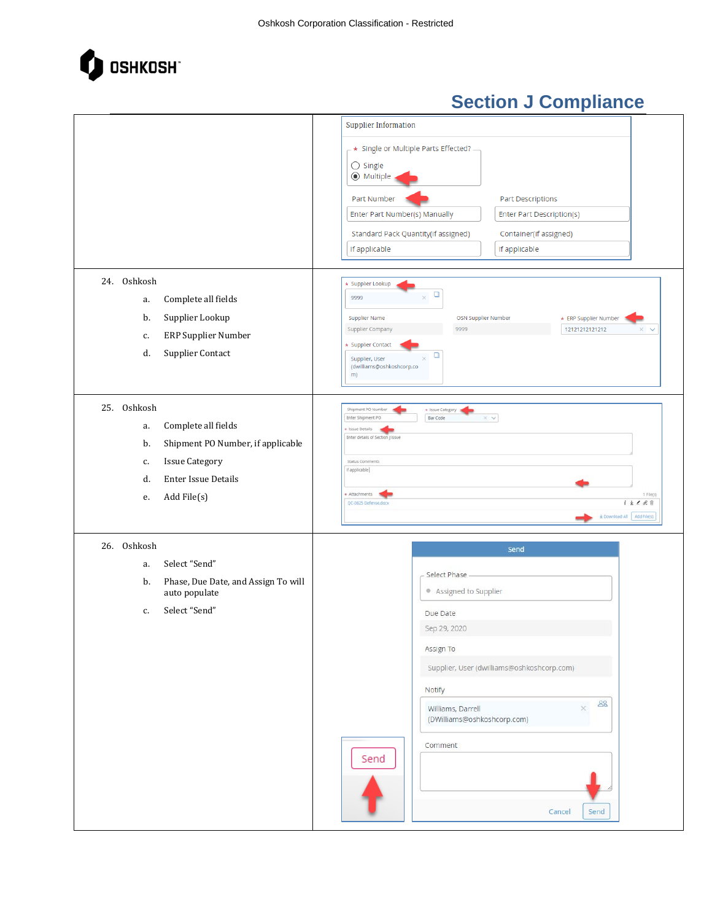

|                                                            | <b>Supplier Information</b>                                                              |
|------------------------------------------------------------|------------------------------------------------------------------------------------------|
|                                                            | $\rightarrow$ Single or Multiple Parts Effected? -<br>$\bigcirc$ Single<br>◉ Multiple    |
|                                                            | <b>Part Descriptions</b><br>Part Number                                                  |
|                                                            | Enter Part Description(s)<br>Enter Part Number(s) Manually                               |
|                                                            | Standard Pack Quantity(if assigned)<br>Container(if assigned)                            |
|                                                            | If applicable<br>If applicable                                                           |
|                                                            |                                                                                          |
| 24. Oshkosh                                                | * Supplier Lookup                                                                        |
| Complete all fields<br>a.                                  | $\Box$<br>9999<br>$\times$                                                               |
| Supplier Lookup<br>b.                                      | Supplier Name<br>OSN Supplier Number<br>* ERP Supplier Number                            |
| ERP Supplier Number<br>c.                                  | 12121212121212<br><b>Supplier Company</b><br>9999<br>$\times$<br>$\sim$                  |
| Supplier Contact<br>d.                                     | * Supplier Contact<br>о<br>Supplier, User<br>$\times$<br>(dwilliams@oshkoshcorp.co<br>m) |
| 25. Oshkosh                                                | Shipment PO Number<br>* Issue Category                                                   |
| Complete all fields<br>a.                                  | Enter Shipment PO<br>Bar Code<br>$\times$ $\times$                                       |
| Shipment PO Number, if applicable<br>b.                    | <b>Bsue Details</b><br>Enter details of Section J Issue                                  |
| <b>Issue Category</b><br>c.                                | Status Comments                                                                          |
| <b>Enter Issue Details</b><br>d.                           | If applicable                                                                            |
| Add File(s)<br>е.                                          | Attachments<br>1 File(s)                                                                 |
|                                                            | $1 \pm 188$<br>QC-0825 Defense.docx<br>E Download All Add File(s)                        |
| 26. Oshkosh                                                | Send                                                                                     |
| Select "Send"<br>a.                                        |                                                                                          |
| Phase, Due Date, and Assign To will<br>b.<br>auto populate | Select Phase<br>• Assigned to Supplier                                                   |
| Select "Send"<br>c.                                        | Due Date                                                                                 |
|                                                            | Sep 29, 2020                                                                             |
|                                                            | Assign To                                                                                |
|                                                            | Supplier, User (dwilliams@oshkoshcorp.com)                                               |
|                                                            | Notify                                                                                   |
|                                                            | 88<br>Williams, Darrell<br>$\times$<br>(DWilliams@oshkoshcorp.com)                       |
|                                                            | Comment                                                                                  |
|                                                            | Send                                                                                     |
|                                                            |                                                                                          |
|                                                            |                                                                                          |
|                                                            | Send<br>Cancel                                                                           |
|                                                            |                                                                                          |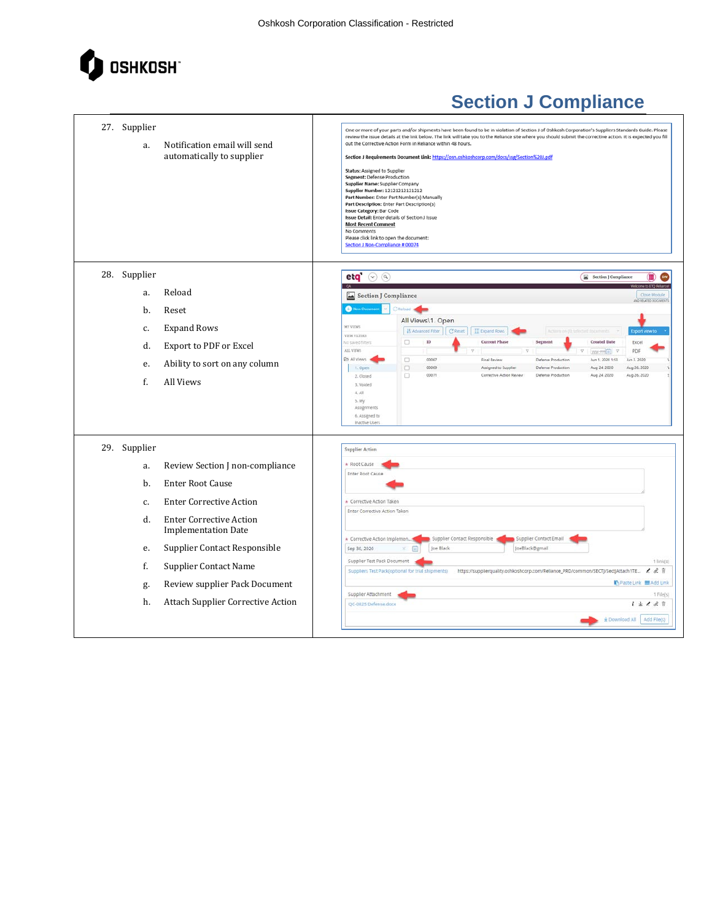

| 27. Supplier<br>a. | Notification email will send<br>automatically to supplier    | One or more of your parts and/or shipments have been found to be in violation of Section J of Oshkosh Corporation's Suppliers Standards Guide. Please<br>review the issue details at the link below. The link will take you to the Reliance site where you should submit the corrective action. It is expected you fill<br>out the Corrective Action Form in Reliance within 48 hours.<br>Section J Requirements Document Link: https://osn.oshkoshcorp.com/docs/ssg/Section%20J.pdf<br>Status: Assigned to Supplier<br>Segment: Defense Production<br>Supplier Name: Supplier Company<br>Supplier Number: 12121212121212<br>Part Number: Enter Part Number(s) Manually<br>Part Description: Enter Part Description(s)<br>Issue Category: Bar Code<br><b>Issue Detail:</b> Enter details of Section J Issue<br><b>Most Recent Comment</b><br>No Comments<br>Please click link to open the document:<br>Section J Non-Compliance # 00074 |
|--------------------|--------------------------------------------------------------|-----------------------------------------------------------------------------------------------------------------------------------------------------------------------------------------------------------------------------------------------------------------------------------------------------------------------------------------------------------------------------------------------------------------------------------------------------------------------------------------------------------------------------------------------------------------------------------------------------------------------------------------------------------------------------------------------------------------------------------------------------------------------------------------------------------------------------------------------------------------------------------------------------------------------------------------|
| 28. Supplier       |                                                              | e q<br>$(\vee)$ $(9)$<br>Section J Compliance                                                                                                                                                                                                                                                                                                                                                                                                                                                                                                                                                                                                                                                                                                                                                                                                                                                                                           |
| a.                 | Reload                                                       | Close Module<br>Section J Compliance<br>AND RELATED DOCUMENT                                                                                                                                                                                                                                                                                                                                                                                                                                                                                                                                                                                                                                                                                                                                                                                                                                                                            |
| b.                 | Reset                                                        | C Reload <b>Company</b><br><b>O</b> New Discurrie                                                                                                                                                                                                                                                                                                                                                                                                                                                                                                                                                                                                                                                                                                                                                                                                                                                                                       |
| c.                 | <b>Expand Rows</b>                                           | All Views\1. Open<br><b>MY VIEWS</b><br><b>It Advanced Filter</b><br>C Reset<br><b>III</b> Expand Rows<br><b>Export view to</b>                                                                                                                                                                                                                                                                                                                                                                                                                                                                                                                                                                                                                                                                                                                                                                                                         |
| d.                 | Export to PDF or Excel                                       | VIEW FILTERS<br>$\Box$<br>$\rm ID$<br><b>Current Phase</b><br>Segment<br><b>Created Date</b><br>Excel<br>No saved filters<br>ALL VIEWS<br>v<br>PDF<br>$\overline{v}$<br>$1000 - 1001$                                                                                                                                                                                                                                                                                                                                                                                                                                                                                                                                                                                                                                                                                                                                                   |
| e.                 | Ability to sort on any column                                | & All Views<br>$\Box$<br>00067<br>Final Review<br>Defense Production<br>Jun 1: 2020 1:53<br>Jun 3, 2020<br>$\Box$<br>00069<br>Aug 24, 2020<br>Aug 26, 2020<br>1. Open<br>Assigned to Supplier<br>Defense Production                                                                                                                                                                                                                                                                                                                                                                                                                                                                                                                                                                                                                                                                                                                     |
| f.                 | All Views                                                    | $\Box$<br>00071<br>Corrective Action Review<br>Defense Production<br>Aug 24, 2020<br>Aug 26, 2020<br>2. Closed<br>3. Voided<br>4, A8<br>5.14y<br>Assignments<br>6. Assigned to<br>Inactive Users                                                                                                                                                                                                                                                                                                                                                                                                                                                                                                                                                                                                                                                                                                                                        |
| 29. Supplier       |                                                              | <b>Supplier Action</b>                                                                                                                                                                                                                                                                                                                                                                                                                                                                                                                                                                                                                                                                                                                                                                                                                                                                                                                  |
| a.                 | Review Section J non-compliance                              | * Root Cause                                                                                                                                                                                                                                                                                                                                                                                                                                                                                                                                                                                                                                                                                                                                                                                                                                                                                                                            |
| b.                 | <b>Enter Root Cause</b>                                      | Enter Root Cause                                                                                                                                                                                                                                                                                                                                                                                                                                                                                                                                                                                                                                                                                                                                                                                                                                                                                                                        |
| c.                 | <b>Enter Corrective Action</b>                               | * Corrective Action Taken                                                                                                                                                                                                                                                                                                                                                                                                                                                                                                                                                                                                                                                                                                                                                                                                                                                                                                               |
| d.                 | <b>Enter Corrective Action</b><br><b>Implementation Date</b> | Enter Corrective Action Taken                                                                                                                                                                                                                                                                                                                                                                                                                                                                                                                                                                                                                                                                                                                                                                                                                                                                                                           |
| e.                 | Supplier Contact Responsible                                 | Supplier Contact Responsible<br>Supplier Contact Email<br>* Corrective Action Implemen.<br>Sep 30, 2020<br>Joe Black<br>JoeBlack@gmail                                                                                                                                                                                                                                                                                                                                                                                                                                                                                                                                                                                                                                                                                                                                                                                                  |
| f.                 | <b>Supplier Contact Name</b>                                 | Supplier Test Pack Document<br>$1$ link(s)<br>https://supplierquality.oshkoshcorp.com/Reliance_PRD/common/SECTJ/SectJAttach1TE & & 1<br>Suppliers Test Pack(optional for trial shipments)                                                                                                                                                                                                                                                                                                                                                                                                                                                                                                                                                                                                                                                                                                                                               |
| g.                 | Review supplier Pack Document                                | Paste Link <b>B</b> Add Link                                                                                                                                                                                                                                                                                                                                                                                                                                                                                                                                                                                                                                                                                                                                                                                                                                                                                                            |
| h.                 | Attach Supplier Corrective Action                            | Supplier Attachment<br>1 File(s)<br>$i \pm \ell$ & B<br>OC-0825 Defense.docx                                                                                                                                                                                                                                                                                                                                                                                                                                                                                                                                                                                                                                                                                                                                                                                                                                                            |
|                    |                                                              | * Download All   Add File(s)                                                                                                                                                                                                                                                                                                                                                                                                                                                                                                                                                                                                                                                                                                                                                                                                                                                                                                            |
|                    |                                                              |                                                                                                                                                                                                                                                                                                                                                                                                                                                                                                                                                                                                                                                                                                                                                                                                                                                                                                                                         |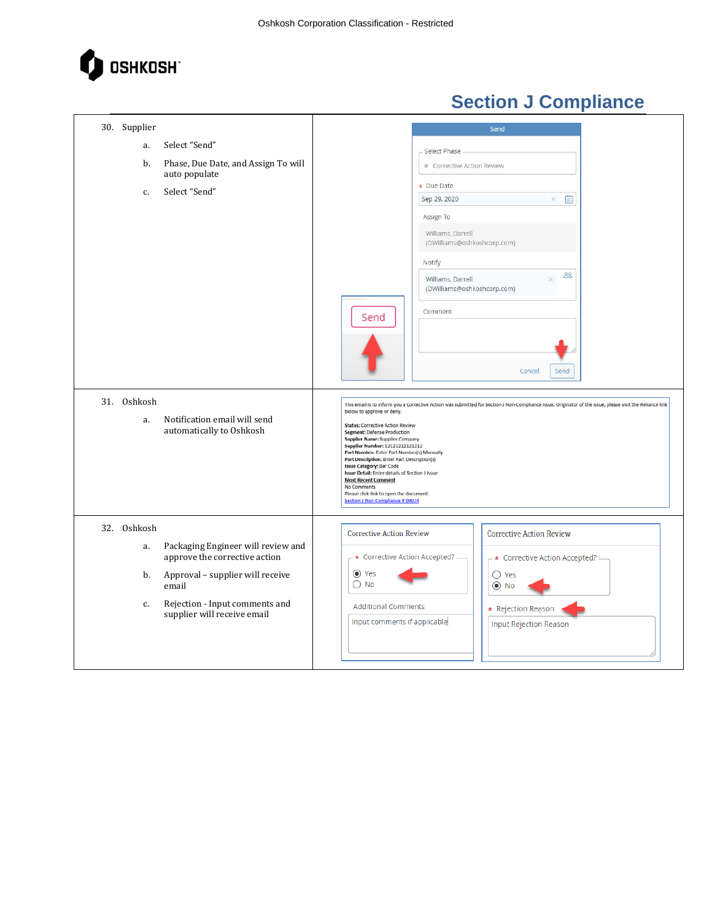

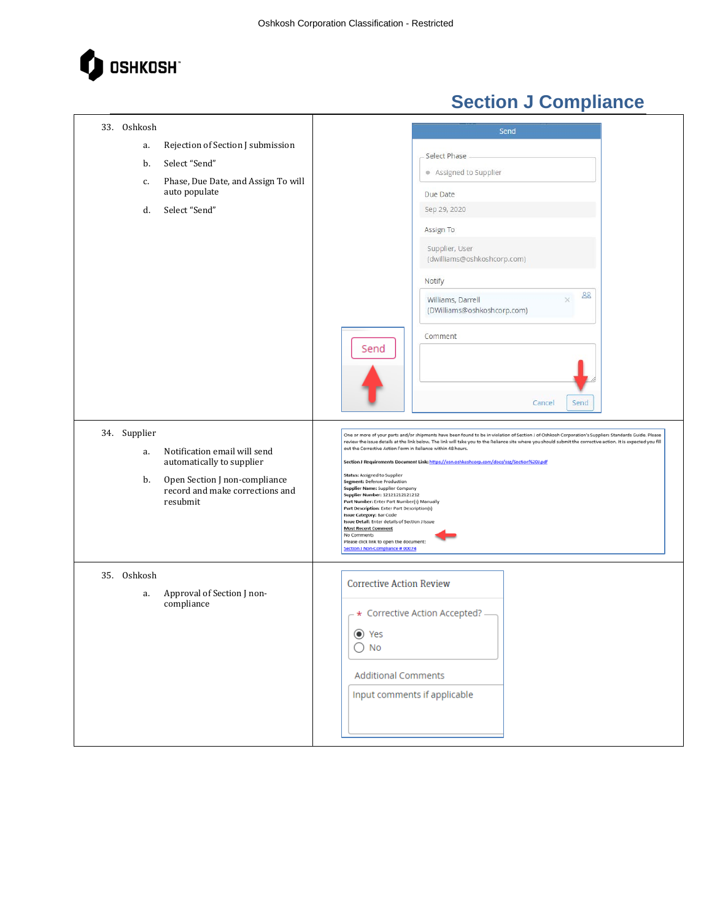

| 33. Oshkosh                                                            | Send                                                                                                                                                                                                                          |
|------------------------------------------------------------------------|-------------------------------------------------------------------------------------------------------------------------------------------------------------------------------------------------------------------------------|
| Rejection of Section J submission<br>a.                                |                                                                                                                                                                                                                               |
| Select "Send"<br>b.                                                    | Select Phase                                                                                                                                                                                                                  |
| Phase, Due Date, and Assign To will<br>c.<br>auto populate             | Assigned to Supplier<br>Due Date                                                                                                                                                                                              |
| Select "Send"<br>d.                                                    | Sep 29, 2020                                                                                                                                                                                                                  |
|                                                                        | Assign To                                                                                                                                                                                                                     |
|                                                                        | Supplier, User<br>(dwilliams@oshkoshcorp.com)                                                                                                                                                                                 |
|                                                                        | Notify                                                                                                                                                                                                                        |
|                                                                        | 88<br>Williams, Darrell<br>(DWilliams@oshkoshcorp.com)                                                                                                                                                                        |
|                                                                        | Comment                                                                                                                                                                                                                       |
|                                                                        | Send                                                                                                                                                                                                                          |
|                                                                        |                                                                                                                                                                                                                               |
|                                                                        | Send<br>Cancel                                                                                                                                                                                                                |
| 34. Supplier                                                           | One or more of your parts and/or shipments have been found to be in violation of Section J of Oshkosh Corporation's Suppliers Standards Guide. Please                                                                         |
| Notification email will send<br>a.                                     | review the issue details at the link below. The link will take you to the Reliance site where you should submit the corrective action. It is expected you fill<br>out the Corrective Action Form in Reliance within 48 hours. |
| automatically to supplier                                              | Section J Requirements Document Link: https://osn.oshkoshcorp.com/docs/ssg/Section%20J.pdf<br>Status: Assigned to Supplier                                                                                                    |
| Open Section J non-compliance<br>b.<br>record and make corrections and | Segment: Defense Production<br>Supplier Name: Supplier Company                                                                                                                                                                |
| resubmit                                                               | Supplier Number: 12121212121212<br>Part Number: Enter Part Number(s) Manually<br>Part Description: Enter Part Description(s)                                                                                                  |
|                                                                        | Issue Category: Bar Code<br>Issue Detail: Enter details of Section J Issue<br><b>Most Recent Comment</b>                                                                                                                      |
|                                                                        | No Comments<br>Please click link to open the document:                                                                                                                                                                        |
|                                                                        | Section J Non-Compliance # 00074                                                                                                                                                                                              |
| 35. Oshkosh                                                            | <b>Corrective Action Review</b>                                                                                                                                                                                               |
| Approval of Section J non-<br>a.<br>compliance                         |                                                                                                                                                                                                                               |
|                                                                        | * Corrective Action Accepted? -                                                                                                                                                                                               |
|                                                                        | ⊙ Yes                                                                                                                                                                                                                         |
|                                                                        | $\bigcirc$ No                                                                                                                                                                                                                 |
|                                                                        | <b>Additional Comments</b>                                                                                                                                                                                                    |
|                                                                        | Input comments if applicable                                                                                                                                                                                                  |
|                                                                        |                                                                                                                                                                                                                               |
|                                                                        |                                                                                                                                                                                                                               |
|                                                                        |                                                                                                                                                                                                                               |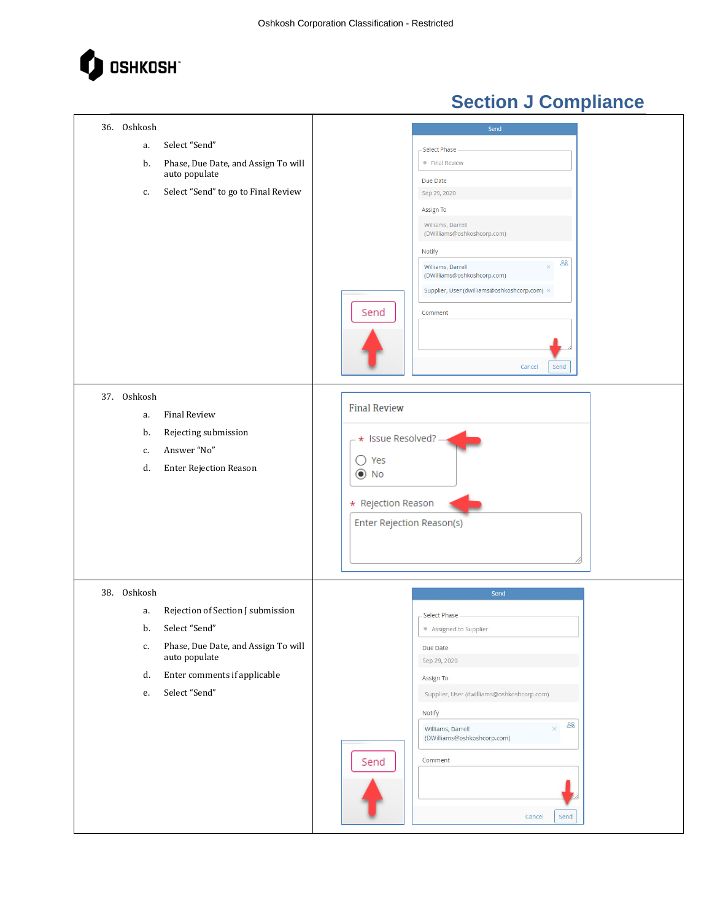